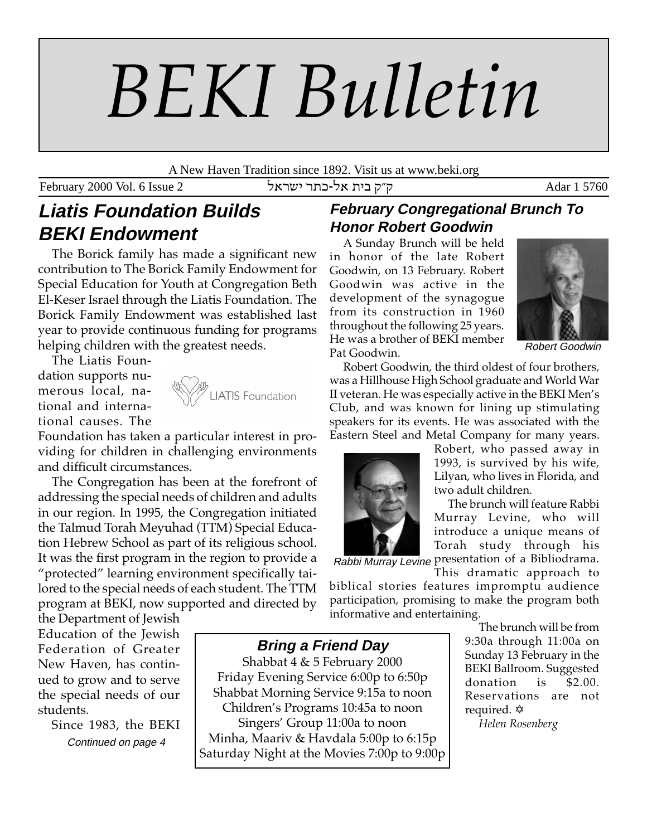# *BEKI Bulletin*

A New Haven Tradition since 1892. Visit us at www.beki.org

February 2000 Vol. 6 Issue 2 ktrah r,f-kt ,hc e"e Adar 1 5760

# **Liatis Foundation Builds BEKI Endowment**

The Borick family has made a significant new contribution to The Borick Family Endowment for Special Education for Youth at Congregation Beth El-Keser Israel through the Liatis Foundation. The Borick Family Endowment was established last year to provide continuous funding for programs helping children with the greatest needs.

The Liatis Foundation supports numerous local, national and international causes. The



Foundation has taken a particular interest in providing for children in challenging environments and difficult circumstances.

The Congregation has been at the forefront of addressing the special needs of children and adults in our region. In 1995, the Congregation initiated the Talmud Torah Meyuhad (TTM) Special Education Hebrew School as part of its religious school. It was the first program in the region to provide a "protected" learning environment specifically tailored to the special needs of each student. The TTM program at BEKI, now supported and directed by

the Department of Jewish Education of the Jewish Federation of Greater New Haven, has continued to grow and to serve the special needs of our students.

Continued on page 4 Since 1983, the BEKI

# **February Congregational Brunch To Honor Robert Goodwin**

A Sunday Brunch will be held in honor of the late Robert Goodwin, on 13 February. Robert Goodwin was active in the development of the synagogue from its construction in 1960 throughout the following 25 years. He was a brother of BEKI member Pat Goodwin.



Robert Goodwin

Robert Goodwin, the third oldest of four brothers, was a Hillhouse High School graduate and World War II veteran. He was especially active in the BEKI Men's Club, and was known for lining up stimulating speakers for its events. He was associated with the Eastern Steel and Metal Company for many years.



Robert, who passed away in 1993, is survived by his wife, Lilyan, who lives in Florida, and two adult children.

The brunch will feature Rabbi Murray Levine, who will introduce a unique means of Torah study through his Rabbi Murray Levine presentation of a Bibliodrama.

This dramatic approach to biblical stories features impromptu audience participation, promising to make the program both informative and entertaining.

> The brunch will be from 9:30a through 11:00a on Sunday 13 February in the BEKI Ballroom. Suggested donation is \$2.00. Reservations are not required. ✡

*Helen Rosenberg*

#### **Bring a Friend Day**

Shabbat 4 & 5 February 2000 Friday Evening Service 6:00p to 6:50p Shabbat Morning Service 9:15a to noon Children's Programs 10:45a to noon Singers' Group 11:00a to noon Minha, Maariv & Havdala 5:00p to 6:15p Saturday Night at the Movies 7:00p to 9:00p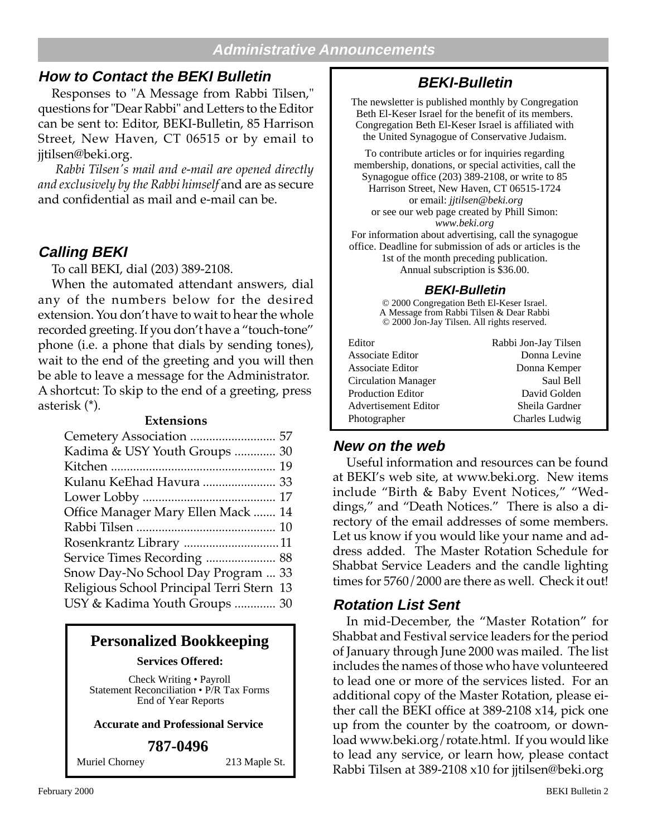#### **Administrative Announcements**

# **How to Contact the BEKI Bulletin**

Responses to "A Message from Rabbi Tilsen," questions for "Dear Rabbi" and Letters to the Editor can be sent to: Editor, BEKI-Bulletin, 85 Harrison Street, New Haven, CT 06515 or by email to jjtilsen@beki.org.

 *Rabbi Tilsen's mail and e-mail are opened directly and exclusively by the Rabbi himself* and are as secure and confidential as mail and e-mail can be.

# **Calling BEKI**

To call BEKI, dial (203) 389-2108.

When the automated attendant answers, dial any of the numbers below for the desired extension. You don't have to wait to hear the whole recorded greeting. If you don't have a "touch-tone" phone (i.e. a phone that dials by sending tones), wait to the end of the greeting and you will then be able to leave a message for the Administrator. A shortcut: To skip to the end of a greeting, press asterisk (\*).

#### **Extensions**

| Kadima & USY Youth Groups  30             |  |
|-------------------------------------------|--|
|                                           |  |
| Kulanu KeEhad Havura  33                  |  |
|                                           |  |
| Office Manager Mary Ellen Mack  14        |  |
|                                           |  |
| Rosenkrantz Library 11                    |  |
|                                           |  |
| Snow Day-No School Day Program  33        |  |
| Religious School Principal Terri Stern 13 |  |
| USY & Kadima Youth Groups  30             |  |

# **Personalized Bookkeeping**

**Services Offered:**

Check Writing • Payroll Statement Reconciliation • P/R Tax Forms End of Year Reports

#### **Accurate and Professional Service**

#### **787-0496**

Muriel Chorney 213 Maple St.

# **BEKI-Bulletin**

The newsletter is published monthly by Congregation Beth El-Keser Israel for the benefit of its members. Congregation Beth El-Keser Israel is affiliated with the United Synagogue of Conservative Judaism.

To contribute articles or for inquiries regarding membership, donations, or special activities, call the Synagogue office (203) 389-2108, or write to 85 Harrison Street, New Haven, CT 06515-1724 or email: *jjtilsen@beki.org* or see our web page created by Phill Simon: *www.beki.org* For information about advertising, call the synagogue

office. Deadline for submission of ads or articles is the 1st of the month preceding publication. Annual subscription is \$36.00.

#### **BEKI-Bulletin**

© 2000 Congregation Beth El-Keser Israel. A Message from Rabbi Tilsen & Dear Rabbi © 2000 Jon-Jay Tilsen. All rights reserved.

| Editor                     | Rabbi Jon-Jay Tilsen |
|----------------------------|----------------------|
| <b>Associate Editor</b>    | Donna Levine         |
| Associate Editor           | Donna Kemper         |
| <b>Circulation Manager</b> | Saul Bell            |
| <b>Production Editor</b>   | David Golden         |
| Advertisement Editor       | Sheila Gardner       |
| Photographer               | Charles Ludwig       |

#### **New on the web**

Useful information and resources can be found at BEKI's web site, at www.beki.org. New items include "Birth & Baby Event Notices," "Weddings," and "Death Notices." There is also a directory of the email addresses of some members. Let us know if you would like your name and address added. The Master Rotation Schedule for Shabbat Service Leaders and the candle lighting times for 5760/2000 are there as well. Check it out!

# **Rotation List Sent**

In mid-December, the "Master Rotation" for Shabbat and Festival service leaders for the period of January through June 2000 was mailed. The list includes the names of those who have volunteered to lead one or more of the services listed. For an additional copy of the Master Rotation, please either call the BEKI office at 389-2108 x14, pick one up from the counter by the coatroom, or download www.beki.org/rotate.html. If you would like to lead any service, or learn how, please contact Rabbi Tilsen at 389-2108 x10 for jjtilsen@beki.org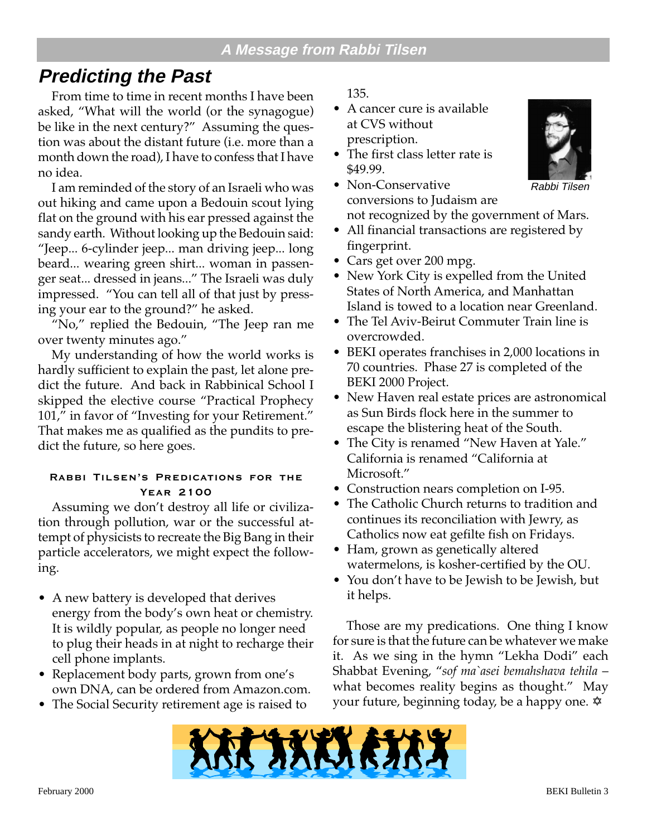# **Predicting the Past**

From time to time in recent months I have been asked, "What will the world (or the synagogue) be like in the next century?" Assuming the question was about the distant future (i.e. more than a month down the road), I have to confess that I have no idea.

I am reminded of the story of an Israeli who was out hiking and came upon a Bedouin scout lying flat on the ground with his ear pressed against the sandy earth. Without looking up the Bedouin said: "Jeep... 6-cylinder jeep... man driving jeep... long beard... wearing green shirt... woman in passenger seat... dressed in jeans..." The Israeli was duly impressed. "You can tell all of that just by pressing your ear to the ground?" he asked.

"No," replied the Bedouin, "The Jeep ran me over twenty minutes ago."

My understanding of how the world works is hardly sufficient to explain the past, let alone predict the future. And back in Rabbinical School I skipped the elective course "Practical Prophecy 101," in favor of "Investing for your Retirement." That makes me as qualified as the pundits to predict the future, so here goes.

#### **Rabbi Tilsen's Predications for the Year 2100**

Assuming we don't destroy all life or civilization through pollution, war or the successful attempt of physicists to recreate the Big Bang in their particle accelerators, we might expect the following.

- A new battery is developed that derives energy from the body's own heat or chemistry. It is wildly popular, as people no longer need to plug their heads in at night to recharge their cell phone implants.
- Replacement body parts, grown from one's own DNA, can be ordered from Amazon.com.
- The Social Security retirement age is raised to

135.

- A cancer cure is available at CVS without prescription.
- The first class letter rate is \$49.99.
- Rabbi Tilsen • Non-Conservative conversions to Judaism are not recognized by the government of Mars.
- All financial transactions are registered by fingerprint.
- Cars get over 200 mpg.
- New York City is expelled from the United States of North America, and Manhattan Island is towed to a location near Greenland.
- The Tel Aviv-Beirut Commuter Train line is overcrowded.
- BEKI operates franchises in 2,000 locations in 70 countries. Phase 27 is completed of the BEKI 2000 Project.
- New Haven real estate prices are astronomical as Sun Birds flock here in the summer to escape the blistering heat of the South.
- The City is renamed "New Haven at Yale." California is renamed "California at Microsoft."
- Construction nears completion on I-95.
- The Catholic Church returns to tradition and continues its reconciliation with Jewry, as Catholics now eat gefilte fish on Fridays.
- Ham, grown as genetically altered watermelons, is kosher-certified by the OU.
- You don't have to be Jewish to be Jewish, but it helps.

Those are my predications. One thing I know for sure is that the future can be whatever we make it. As we sing in the hymn "Lekha Dodi" each Shabbat Evening, "*sof ma`asei bemahshava tehila* – what becomes reality begins as thought." May your future, beginning today, be a happy one.  $\hat{\varphi}$ 

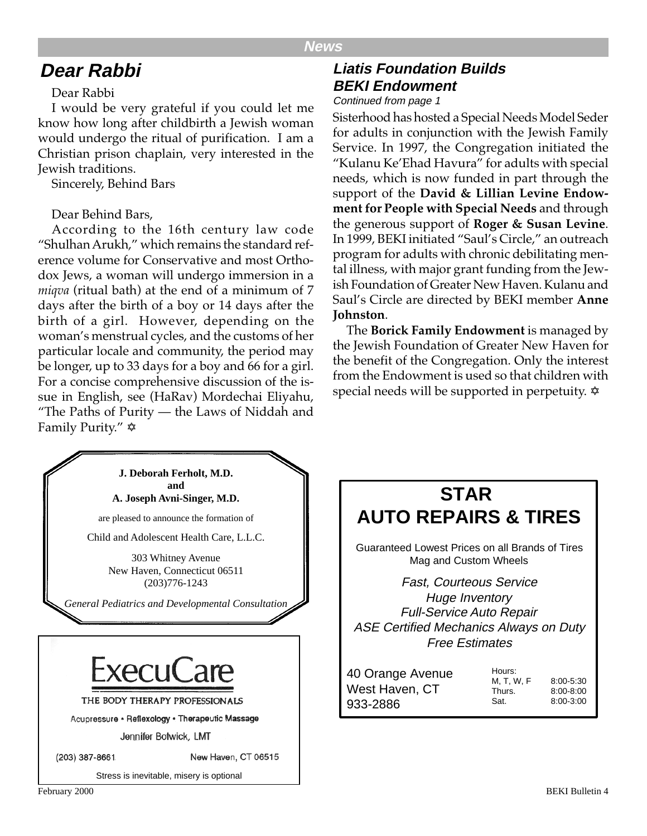# **Dear Rabbi**

I would be very grateful if you could let me know how long after childbirth a Jewish woman would undergo the ritual of purification. I am a Christian prison chaplain, very interested in the Jewish traditions.

Sincerely, Behind Bars

#### Dear Behind Bars,

According to the 16th century law code "Shulhan Arukh," which remains the standard reference volume for Conservative and most Orthodox Jews, a woman will undergo immersion in a *miqva* (ritual bath) at the end of a minimum of 7 days after the birth of a boy or 14 days after the birth of a girl. However, depending on the woman's menstrual cycles, and the customs of her particular locale and community, the period may be longer, up to 33 days for a boy and 66 for a girl. For a concise comprehensive discussion of the issue in English, see (HaRav) Mordechai Eliyahu, "The Paths of Purity — the Laws of Niddah and Family Purity." ✡

# **Liatis Foundation Builds BEKI Endowment** Dear Rabbi

#### Continued from page 1

Sisterhood has hosted a Special Needs Model Seder for adults in conjunction with the Jewish Family Service. In 1997, the Congregation initiated the "Kulanu Ke'Ehad Havura" for adults with special needs, which is now funded in part through the support of the **David & Lillian Levine Endowment for People with Special Needs** and through the generous support of **Roger & Susan Levine**. In 1999, BEKI initiated "Saul's Circle," an outreach program for adults with chronic debilitating mental illness, with major grant funding from the Jewish Foundation of Greater New Haven. Kulanu and Saul's Circle are directed by BEKI member **Anne Johnston**.

The **Borick Family Endowment** is managed by the Jewish Foundation of Greater New Haven for the benefit of the Congregation. Only the interest from the Endowment is used so that children with special needs will be supported in perpetuity.  $\hat{\varphi}$ 

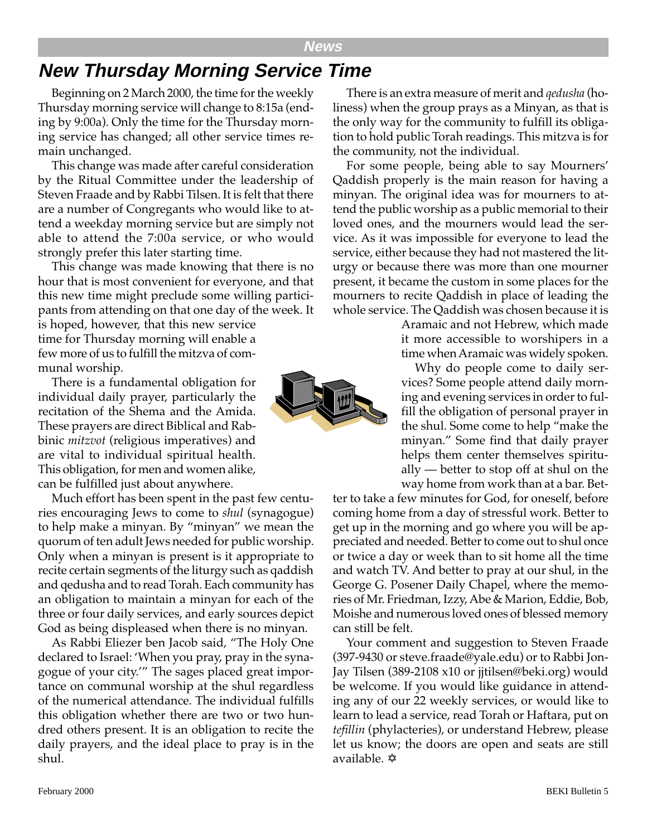# **New Thursday Morning Service Time**

Beginning on 2 March 2000, the time for the weekly Thursday morning service will change to 8:15a (ending by 9:00a). Only the time for the Thursday morning service has changed; all other service times remain unchanged.

This change was made after careful consideration by the Ritual Committee under the leadership of Steven Fraade and by Rabbi Tilsen. It is felt that there are a number of Congregants who would like to attend a weekday morning service but are simply not able to attend the 7:00a service, or who would strongly prefer this later starting time.

This change was made knowing that there is no hour that is most convenient for everyone, and that this new time might preclude some willing participants from attending on that one day of the week. It

is hoped, however, that this new service time for Thursday morning will enable a few more of us to fulfill the mitzva of communal worship.

There is a fundamental obligation for individual daily prayer, particularly the recitation of the Shema and the Amida. These prayers are direct Biblical and Rabbinic *mitzvot* (religious imperatives) and are vital to individual spiritual health. This obligation, for men and women alike, can be fulfilled just about anywhere.

Much effort has been spent in the past few centuries encouraging Jews to come to *shul* (synagogue) to help make a minyan. By "minyan" we mean the quorum of ten adult Jews needed for public worship. Only when a minyan is present is it appropriate to recite certain segments of the liturgy such as qaddish and qedusha and to read Torah. Each community has an obligation to maintain a minyan for each of the three or four daily services, and early sources depict God as being displeased when there is no minyan.

As Rabbi Eliezer ben Jacob said, "The Holy One declared to Israel: 'When you pray, pray in the synagogue of your city.'" The sages placed great importance on communal worship at the shul regardless of the numerical attendance. The individual fulfills this obligation whether there are two or two hundred others present. It is an obligation to recite the daily prayers, and the ideal place to pray is in the shul.

There is an extra measure of merit and *qedusha* (holiness) when the group prays as a Minyan, as that is the only way for the community to fulfill its obligation to hold public Torah readings. This mitzva is for the community, not the individual.

For some people, being able to say Mourners' Qaddish properly is the main reason for having a minyan. The original idea was for mourners to attend the public worship as a public memorial to their loved ones, and the mourners would lead the service. As it was impossible for everyone to lead the service, either because they had not mastered the liturgy or because there was more than one mourner present, it became the custom in some places for the mourners to recite Qaddish in place of leading the whole service. The Qaddish was chosen because it is

> Aramaic and not Hebrew, which made it more accessible to worshipers in a time when Aramaic was widely spoken.

> Why do people come to daily services? Some people attend daily morning and evening services in order to fulfill the obligation of personal prayer in the shul. Some come to help "make the minyan." Some find that daily prayer helps them center themselves spiritually — better to stop off at shul on the way home from work than at a bar. Bet-

ter to take a few minutes for God, for oneself, before coming home from a day of stressful work. Better to get up in the morning and go where you will be appreciated and needed. Better to come out to shul once or twice a day or week than to sit home all the time and watch TV. And better to pray at our shul, in the George G. Posener Daily Chapel, where the memories of Mr. Friedman, Izzy, Abe & Marion, Eddie, Bob, Moishe and numerous loved ones of blessed memory can still be felt.

Your comment and suggestion to Steven Fraade (397-9430 or steve.fraade@yale.edu) or to Rabbi Jon-Jay Tilsen (389-2108 x10 or jjtilsen@beki.org) would be welcome. If you would like guidance in attending any of our 22 weekly services, or would like to learn to lead a service, read Torah or Haftara, put on *tefillin* (phylacteries), or understand Hebrew, please let us know; the doors are open and seats are still available. ✡

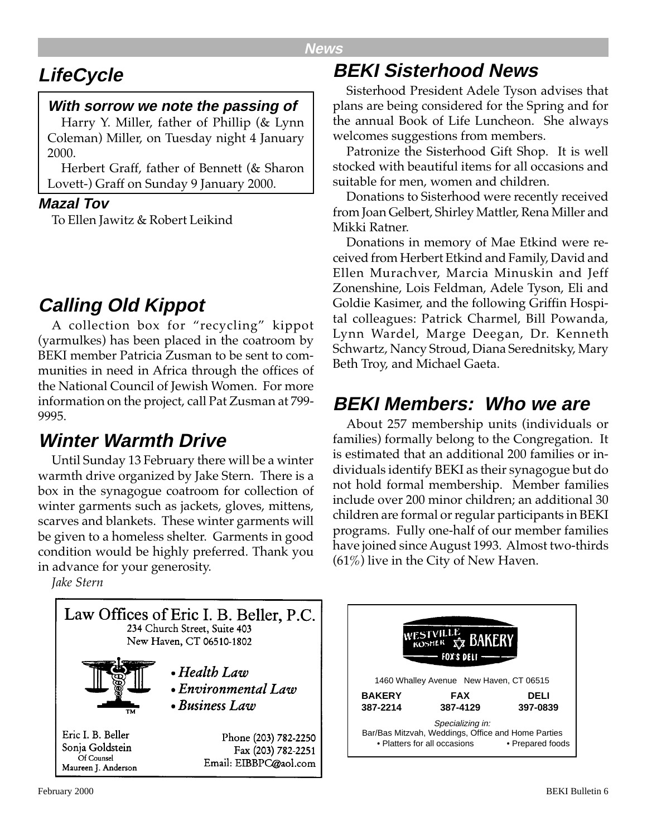#### **News**

# **LifeCycle**

# **With sorrow we note the passing of**

Harry Y. Miller, father of Phillip (& Lynn Coleman) Miller, on Tuesday night 4 January 2000.

Herbert Graff, father of Bennett (& Sharon Lovett-) Graff on Sunday 9 January 2000.

# **Mazal Tov**

To Ellen Jawitz & Robert Leikind

# **Calling Old Kippot**

A collection box for "recycling" kippot (yarmulkes) has been placed in the coatroom by BEKI member Patricia Zusman to be sent to communities in need in Africa through the offices of the National Council of Jewish Women. For more information on the project, call Pat Zusman at 799- 9995.

# **Winter Warmth Drive**

Until Sunday 13 February there will be a winter warmth drive organized by Jake Stern. There is a box in the synagogue coatroom for collection of winter garments such as jackets, gloves, mittens, scarves and blankets. These winter garments will be given to a homeless shelter. Garments in good condition would be highly preferred. Thank you in advance for your generosity.

# **BEKI Sisterhood News**

Sisterhood President Adele Tyson advises that plans are being considered for the Spring and for the annual Book of Life Luncheon. She always welcomes suggestions from members.

Patronize the Sisterhood Gift Shop. It is well stocked with beautiful items for all occasions and suitable for men, women and children.

Donations to Sisterhood were recently received from Joan Gelbert, Shirley Mattler, Rena Miller and Mikki Ratner.

Donations in memory of Mae Etkind were received from Herbert Etkind and Family, David and Ellen Murachver, Marcia Minuskin and Jeff Zonenshine, Lois Feldman, Adele Tyson, Eli and Goldie Kasimer, and the following Griffin Hospital colleagues: Patrick Charmel, Bill Powanda, Lynn Wardel, Marge Deegan, Dr. Kenneth Schwartz, Nancy Stroud, Diana Serednitsky, Mary Beth Troy, and Michael Gaeta.

# **BEKI Members: Who we are**

About 257 membership units (individuals or families) formally belong to the Congregation. It is estimated that an additional 200 families or individuals identify BEKI as their synagogue but do not hold formal membership. Member families include over 200 minor children; an additional 30 children are formal or regular participants in BEKI programs. Fully one-half of our member families have joined since August 1993. Almost two-thirds  $(61%)$  live in the City of New Haven.

*Jake Stern*



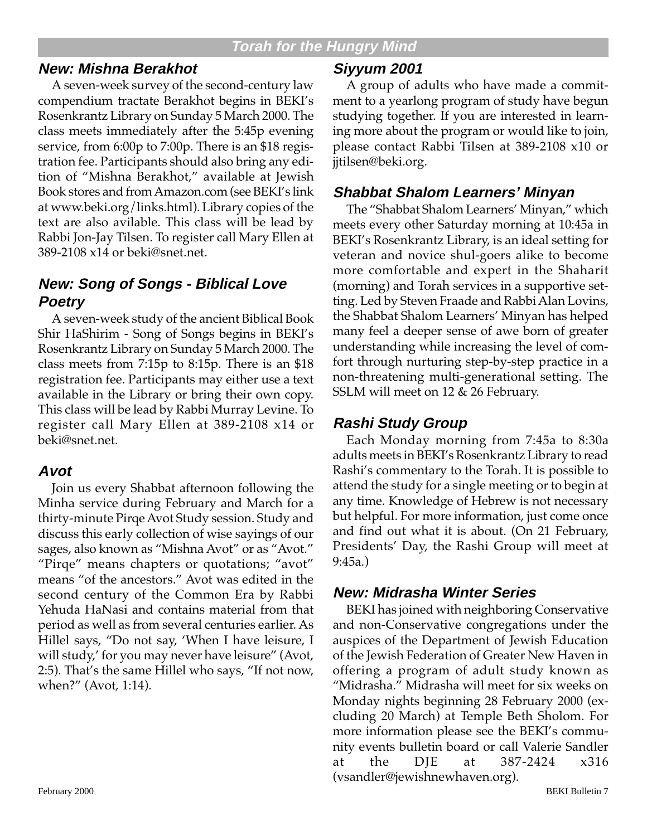# **New: Mishna Berakhot**

A seven-week survey of the second-century law compendium tractate Berakhot begins in BEKI's Rosenkrantz Library on Sunday 5 March 2000. The class meets immediately after the 5:45p evening service, from 6:00p to 7:00p. There is an \$18 registration fee. Participants should also bring any edition of "Mishna Berakhot," available at Jewish Book stores and from Amazon.com (see BEKI's link at www.beki.org/links.html). Library copies of the text are also avilable. This class will be lead by Rabbi Jon-Jay Tilsen. To register call Mary Ellen at 389-2108 x14 or beki@snet.net.

# **New: Song of Songs - Biblical Love Poetry**

A seven-week study of the ancient Biblical Book Shir HaShirim - Song of Songs begins in BEKI's Rosenkrantz Library on Sunday 5 March 2000. The class meets from 7:15p to 8:15p. There is an \$18 registration fee. Participants may either use a text available in the Library or bring their own copy. This class will be lead by Rabbi Murray Levine. To register call Mary Ellen at 389-2108 x14 or beki@snet.net.

# **Avot**

Join us every Shabbat afternoon following the Minha service during February and March for a thirty-minute Pirqe Avot Study session. Study and discuss this early collection of wise sayings of our sages, also known as "Mishna Avot" or as "Avot." "Pirqe" means chapters or quotations; "avot" means "of the ancestors." Avot was edited in the second century of the Common Era by Rabbi Yehuda HaNasi and contains material from that period as well as from several centuries earlier. As Hillel says, "Do not say, 'When I have leisure, I will study,' for you may never have leisure" (Avot, 2:5). That's the same Hillel who says, "If not now, when?" (Avot, 1:14).

# **Siyyum 2001**

A group of adults who have made a commitment to a yearlong program of study have begun studying together. If you are interested in learning more about the program or would like to join, please contact Rabbi Tilsen at 389-2108 x10 or jjtilsen@beki.org.

# **Shabbat Shalom Learners' Minyan**

The "Shabbat Shalom Learners' Minyan," which meets every other Saturday morning at 10:45a in BEKI's Rosenkrantz Library, is an ideal setting for veteran and novice shul-goers alike to become more comfortable and expert in the Shaharit (morning) and Torah services in a supportive setting. Led by Steven Fraade and Rabbi Alan Lovins, the Shabbat Shalom Learners' Minyan has helped many feel a deeper sense of awe born of greater understanding while increasing the level of comfort through nurturing step-by-step practice in a non-threatening multi-generational setting. The SSLM will meet on 12 & 26 February.

# **Rashi Study Group**

Each Monday morning from 7:45a to 8:30a adults meets in BEKI's Rosenkrantz Library to read Rashi's commentary to the Torah. It is possible to attend the study for a single meeting or to begin at any time. Knowledge of Hebrew is not necessary but helpful. For more information, just come once and find out what it is about. (On 21 February, Presidents' Day, the Rashi Group will meet at 9:45a.)

# **New: Midrasha Winter Series**

BEKI has joined with neighboring Conservative and non-Conservative congregations under the auspices of the Department of Jewish Education of the Jewish Federation of Greater New Haven in offering a program of adult study known as "Midrasha." Midrasha will meet for six weeks on Monday nights beginning 28 February 2000 (excluding 20 March) at Temple Beth Sholom. For more information please see the BEKI's community events bulletin board or call Valerie Sandler at the DJE at 387-2424 x316 (vsandler@jewishnewhaven.org).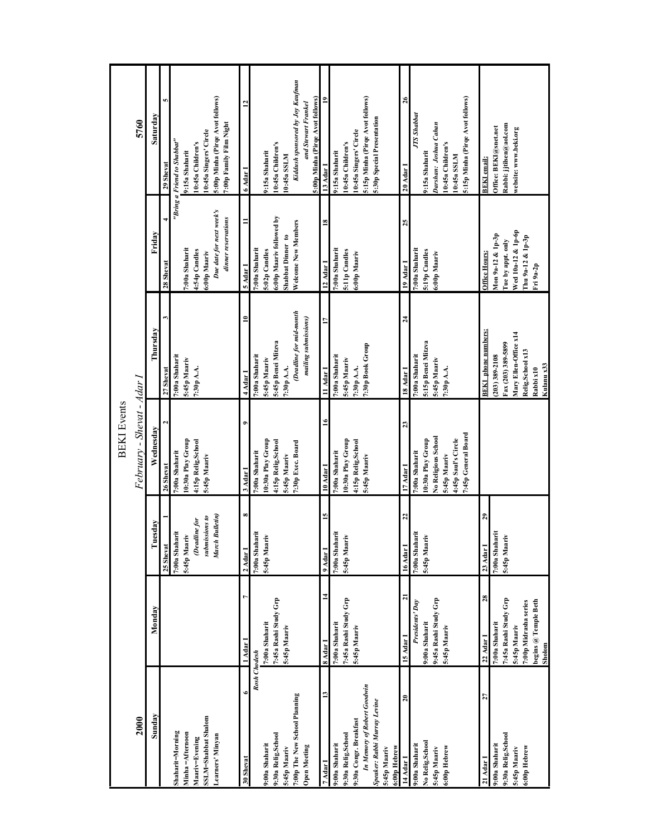|                    | 5760                     | Saturday   | v.<br>29 Shevat | "Bring a Friend to Shabbat" | 9:15a Shaharit    | 10:45a Children's  | 10:45a Singers' Circle | 5:00p Minha (Pirqe Avot follows) | 7:00p Family Film Night | 6 Adar 1       |                | 9:15a Shaharit   | 10:45a Children's        | 10:45a SSLM       | Kiddush sponsored by Joy Kaufman | and Stewart Frankel  | 5:00p Minha (Pirqe Avot follows) | $\mathbf{D}$<br>13 Adar I    | 9:15a Shaharit | 10:45a Children's     | 10:45a Singers' Circle | 5:15p Minha (Pirqe Avot follows) | 5:30p Special Presentation   |              |              | $\frac{26}{5}$<br>$20$ Adar I | TS Shabbat      | 9:15a Shaharit     | Darshan: Joshua Cahan      | 10:45a Children's | 10:45a SSLM         | 5:15p Minha (Pirqe Avot follows) | <b>BEKI</b> email:         | Office: BEKI@snet.net | Rabbi: jjtilsen@aol.com | website: www.beki.org |                       |                                  |
|--------------------|--------------------------|------------|-----------------|-----------------------------|-------------------|--------------------|------------------------|----------------------------------|-------------------------|----------------|----------------|------------------|--------------------------|-------------------|----------------------------------|----------------------|----------------------------------|------------------------------|----------------|-----------------------|------------------------|----------------------------------|------------------------------|--------------|--------------|-------------------------------|-----------------|--------------------|----------------------------|-------------------|---------------------|----------------------------------|----------------------------|-----------------------|-------------------------|-----------------------|-----------------------|----------------------------------|
|                    |                          | Friday     | 28 Shevat       |                             | 7:00a Shaharit    | 4:54p Candles      | 6:00p Maariv           | Due date for next week's         | dinner reservations     | 5 Adar I       | 7:00a Shaharit | 5:02p Candles    | 6:00p Maariv followed by | Shabbat Dinner to | Welcome New Members              |                      |                                  | $\overline{18}$<br>12 Adar I | 7:00a Shaharit | 5:11p Candles         | 6:00p Maariv           |                                  |                              |              |              | 25<br>19 Adar I               | 7:00a Shaharit  | 5:19p Candles      | 5:00p Maariv               |                   |                     |                                  | Office Hours:              | Mon 9a-12 & 1p-3p     | I'ue by appt. only      | Wed 10a-12 & 1p-6p    | Thu 9a-12 & 1p-3p     | Fri 9a-2p                        |
|                    |                          | Thursday   | 27 Shevat       | 7:00a Shaharit              | 5:45p Maariv      | 7:30p A.A.         |                        |                                  |                         | 4 Adar         | 7:00a Shaharit | 5:45p Maariv     | 5:45p Benei Mitzva       | 7:30p A.A.        | Deadline for mid-month           | mailing submissions) |                                  | $\mathbf{L}$<br>11 Adar I    | 7:00a Shaharit | 5:45p Maariv          | 7:30p A.A.             | 7:30p Book Group                 |                              |              |              | $\overline{a}$<br>18 Adar 1   | 7:00a Shaharit  | 5:15p Benei Mitzva | 5:45p Maariv               | 7:30p A.A.        |                     |                                  | <b>BEKI</b> phone numbers: | 203) 389-2108         | Fax (203) 389-5899      | Mary Ellen-Office x14 | Relig.School x13      | Kulanu x33<br>Rabbi x10          |
| <b>BEKI</b> Events | February - Shevat - Adar | Wednesday  | 26 Shevat       | 7:00a Shaharit              | 10:30a Play Group | 4:15p Relig.School | 5:45p Maariv           |                                  |                         | $3$ Adar       | 7:00a Shaharit | 0:30a Play Group | 4:15p Relig.School       | 5:45p Maariv      | ':30p Exec. Board                |                      |                                  | $\tilde{=}$<br>10 Adar I     | 7:00a Shaharit | 10:30a Play Group     | 4:15p Relig.School     | 5:45p Maariv                     |                              |              |              | 23<br>17 Adar I               | 7:00a Shaharit  | 0:30a Play Group   | <b>No Religious School</b> | 5:45p Maariv      | 4:45p Saul's Circle | ':45p General Board              |                            |                       |                         |                       |                       |                                  |
|                    |                          | esday<br>Ē | 25 Shevat       | 7:00a Shaharit              | 5:45p Maariv      | (Deadline for      | submissions to         | <b>Bulletin</b> )<br>March       |                         | œ<br>2 Adar I  | 7:00a Shaharit | 5:45p Maariv     |                          |                   |                                  |                      |                                  | 15<br>9 Adar I               | 7:00a Shaharit | 5:45p Maariv          |                        |                                  |                              |              |              | 22<br>16 Adar I               | 7:00a Shaharit  | 5:45p Maariv       |                            |                   |                     |                                  | 29<br>23 Adar I            | 7:00a Shaharit        | 5:45p Maariv            |                       |                       |                                  |
|                    |                          | Monday     |                 |                             |                   |                    |                        |                                  |                         | <b>Adar</b>    |                | 7:00a Shaharit   | 7:45a Rashi Study Grp    | 5:45p Maariv      |                                  |                      |                                  | $\overline{1}$<br>8 Adar 1   | 7:00a Shaharit | 7:45a Rashi Study Grp | 5:45p Maariv           |                                  |                              |              |              | $\overline{a}$<br>15 Adar I   | Presidents' Day | 9:00a Shaharit     | 9:45a Rashi Study Grp      | 5:45p Maariv      |                     |                                  | 28<br>22 Adar I            | 7:00a Shaharit        | 7:45a Rashi Study Grp   | 5:45p Maariv          | 7:00p Midrasha series | begins $@$ Temple Beth<br>Sholom |
|                    | 2000                     | Sunday     |                 | Shaharit=Morning            | Minha = Afternoon | Maariv=Evening     | SSLN=Shabbat Shalom    | Learners' Minyan                 |                         | ۰<br>30 Shevat | Rosh Chodesh   | 9:00a Shaharit   | 9:30a Relig.School       | 5:45p Maariv      | 7:00p The New School Planning    | <b>Open Meeting</b>  |                                  | $\mathbf{r}$<br>7 Adar I     | 9:00a Shaharit | 9:30a Relig.School    | 9:30a Congr. Breakfast | In Memory of Robert Goodwin      | Speaker: Rabbi Murray Levine | 5:45p Maariv | 6:00p Hebrew | $\overline{a}$<br>14 Adar I   | 9:00a Shaharit  | No Relig.School    | 5:45p Maariv               | 6:00p Hebrew      |                     |                                  | 27<br>21 Adar I            | 9:00a Shaharit        | 9:30a Relig.School      | 5:45p Maariv          | 6:00p Hebrew          |                                  |